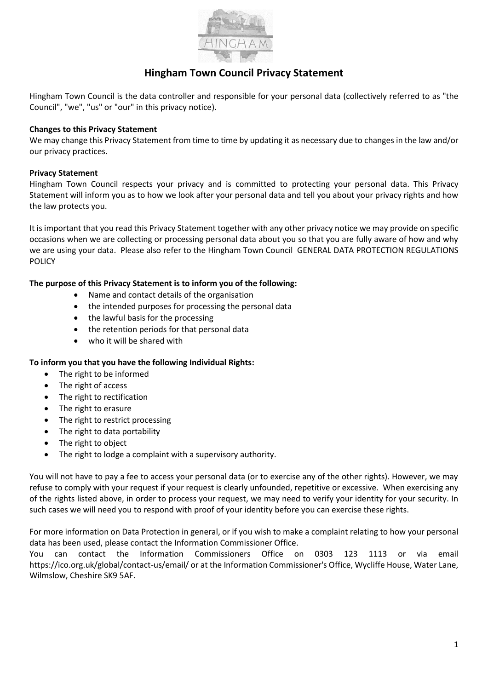

# **Hingham Town Council Privacy Statement**

Hingham Town Council is the data controller and responsible for your personal data (collectively referred to as "the Council", "we", "us" or "our" in this privacy notice).

#### **Changes to this Privacy Statement**

We may change this Privacy Statement from time to time by updating it as necessary due to changes in the law and/or our privacy practices.

## **Privacy Statement**

Hingham Town Council respects your privacy and is committed to protecting your personal data. This Privacy Statement will inform you as to how we look after your personal data and tell you about your privacy rights and how the law protects you.

It is important that you read this Privacy Statement together with any other privacy notice we may provide on specific occasions when we are collecting or processing personal data about you so that you are fully aware of how and why we are using your data. Please also refer to the Hingham Town Council GENERAL DATA PROTECTION REGULATIONS POLICY

## **The purpose of this Privacy Statement is to inform you of the following:**

- Name and contact details of the organisation
- the intended purposes for processing the personal data
- the lawful basis for the processing
- the retention periods for that personal data
- who it will be shared with

# **To inform you that you have the following Individual Rights:**

- The right to be informed
- The right of access
- The right to rectification
- The right to erasure
- The right to restrict processing
- The right to data portability
- The right to object
- The right to lodge a complaint with a supervisory authority.

You will not have to pay a fee to access your personal data (or to exercise any of the other rights). However, we may refuse to comply with your request if your request is clearly unfounded, repetitive or excessive. When exercising any of the rights listed above, in order to process your request, we may need to verify your identity for your security. In such cases we will need you to respond with proof of your identity before you can exercise these rights.

For more information on Data Protection in general, or if you wish to make a complaint relating to how your personal data has been used, please contact the Information Commissioner Office.

You can contact the Information Commissioners Office on 0303 123 1113 or via email https://ico.org.uk/global/contact-us/email/ or at the Information Commissioner's Office, Wycliffe House, Water Lane, Wilmslow, Cheshire SK9 5AF.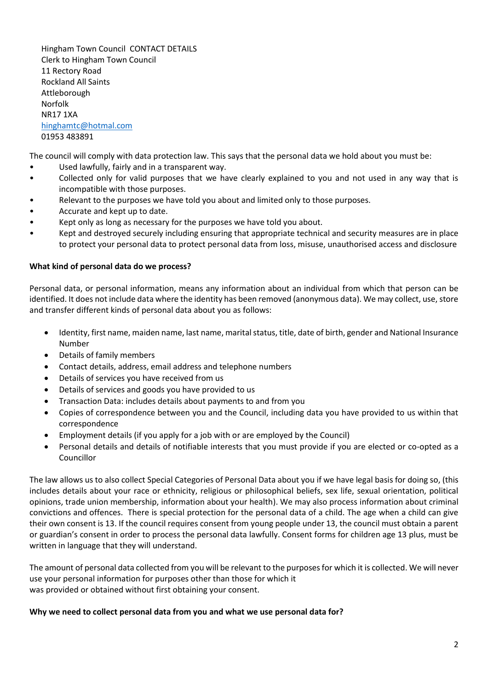Hingham Town Council CONTACT DETAILS Clerk to Hingham Town Council 11 Rectory Road Rockland All Saints Attleborough Norfolk NR17 1XA [hinghamtc@hotmal.com](mailto:hinghamtc@hotmal.com) 01953 483891

The council will comply with data protection law. This says that the personal data we hold about you must be:

- Used lawfully, fairly and in a transparent way.
- Collected only for valid purposes that we have clearly explained to you and not used in any way that is incompatible with those purposes.
- Relevant to the purposes we have told you about and limited only to those purposes.
- Accurate and kept up to date.
- Kept only as long as necessary for the purposes we have told you about.
- Kept and destroyed securely including ensuring that appropriate technical and security measures are in place to protect your personal data to protect personal data from loss, misuse, unauthorised access and disclosure

## **What kind of personal data do we process?**

Personal data, or personal information, means any information about an individual from which that person can be identified. It does not include data where the identity has been removed (anonymous data). We may collect, use, store and transfer different kinds of personal data about you as follows:

- Identity, first name, maiden name, last name, marital status, title, date of birth, gender and National Insurance Number
- Details of family members
- Contact details, address, email address and telephone numbers
- Details of services you have received from us
- Details of services and goods you have provided to us
- Transaction Data: includes details about payments to and from you
- Copies of correspondence between you and the Council, including data you have provided to us within that correspondence
- Employment details (if you apply for a job with or are employed by the Council)
- Personal details and details of notifiable interests that you must provide if you are elected or co-opted as a Councillor

The law allows us to also collect Special Categories of Personal Data about you if we have legal basis for doing so, (this includes details about your race or ethnicity, religious or philosophical beliefs, sex life, sexual orientation, political opinions, trade union membership, information about your health). We may also process information about criminal convictions and offences. There is special protection for the personal data of a child. The age when a child can give their own consent is 13. If the council requires consent from young people under 13, the council must obtain a parent or guardian's consent in order to process the personal data lawfully. Consent forms for children age 13 plus, must be written in language that they will understand.

The amount of personal data collected from you will be relevant to the purposes for which it is collected. We will never use your personal information for purposes other than those for which it was provided or obtained without first obtaining your consent.

#### **Why we need to collect personal data from you and what we use personal data for?**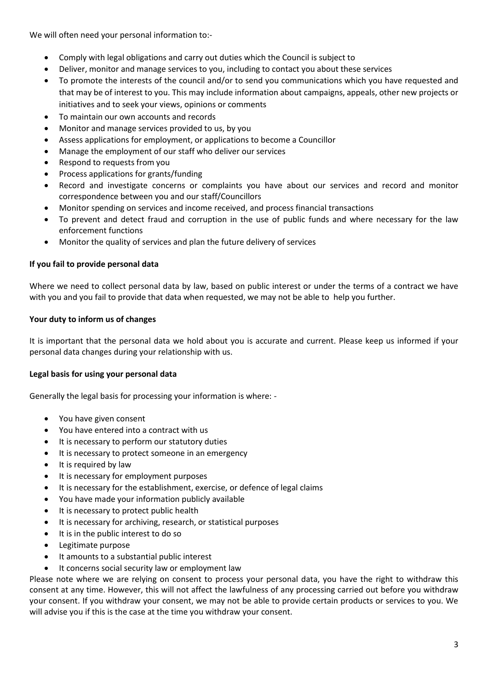We will often need your personal information to:-

- Comply with legal obligations and carry out duties which the Council is subject to
- Deliver, monitor and manage services to you, including to contact you about these services
- To promote the interests of the council and/or to send you communications which you have requested and that may be of interest to you. This may include information about campaigns, appeals, other new projects or initiatives and to seek your views, opinions or comments
- To maintain our own accounts and records
- Monitor and manage services provided to us, by you
- Assess applications for employment, or applications to become a Councillor
- Manage the employment of our staff who deliver our services
- Respond to requests from you
- Process applications for grants/funding
- Record and investigate concerns or complaints you have about our services and record and monitor correspondence between you and our staff/Councillors
- Monitor spending on services and income received, and process financial transactions
- To prevent and detect fraud and corruption in the use of public funds and where necessary for the law enforcement functions
- Monitor the quality of services and plan the future delivery of services

# **If you fail to provide personal data**

Where we need to collect personal data by law, based on public interest or under the terms of a contract we have with you and you fail to provide that data when requested, we may not be able to help you further.

# **Your duty to inform us of changes**

It is important that the personal data we hold about you is accurate and current. Please keep us informed if your personal data changes during your relationship with us.

# **Legal basis for using your personal data**

Generally the legal basis for processing your information is where: -

- You have given consent
- You have entered into a contract with us
- It is necessary to perform our statutory duties
- It is necessary to protect someone in an emergency
- It is required by law
- It is necessary for employment purposes
- It is necessary for the establishment, exercise, or defence of legal claims
- You have made your information publicly available
- It is necessary to protect public health
- It is necessary for archiving, research, or statistical purposes
- It is in the public interest to do so
- Legitimate purpose
- It amounts to a substantial public interest
- It concerns social security law or employment law

Please note where we are relying on consent to process your personal data, you have the right to withdraw this consent at any time. However, this will not affect the lawfulness of any processing carried out before you withdraw your consent. If you withdraw your consent, we may not be able to provide certain products or services to you. We will advise you if this is the case at the time you withdraw your consent.